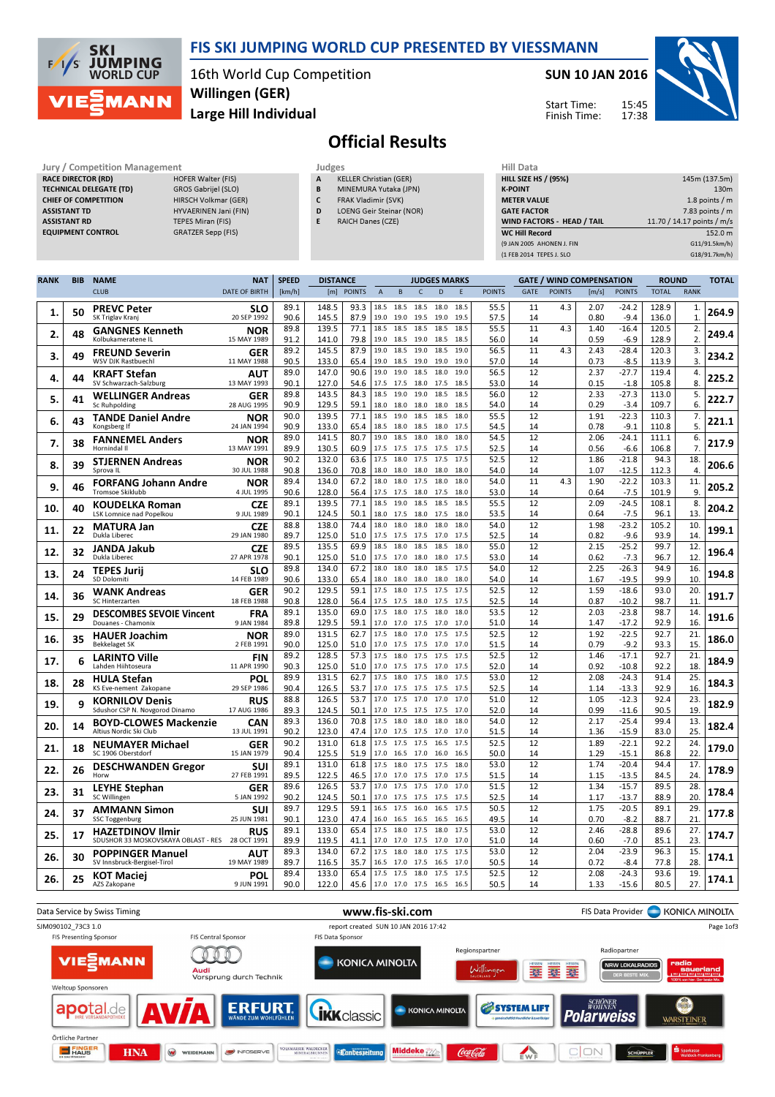

### FIS SKI JUMPING WORLD CUP PRESENTED BY VIESSMANN

16th World Cup Competition Large Hill Individual Willingen (GER)

#### SUN 10 JAN 2016

Start Time: Finish Time:



## Official Results

RACE DIRECTOR (RD) TECHNICAL DELEGATE (TD) GROS Gabrijel (SLO) CHIEF OF COMPETITION HIRSCH Volkmar (GER) ASSISTANT TD HYVAERINEN Jani (FIN) ASSISTANT RD TEPES Miran (FIS)

Jury / Competition Management **Judges** Judges Hill Data<br>
RACE DIRECTOR (RD) HILL SIZE HILL SIZE HILL SIZE EQUIPMENT CONTROL GRATZER Sepp (FIS)

| ---- |                               |  |
|------|-------------------------------|--|
| A    | <b>KELLER Christian (GER)</b> |  |

- B MINEMURA Yutaka (JPN)
- C FRAK Vladimir (SVK) D LOENG Geir Steinar (NOR)
	-
- E RAICH Danes (CZE)

| niil Vata                         |                            |
|-----------------------------------|----------------------------|
| <b>HILL SIZE HS / (95%)</b>       | 145m (137.5m)              |
| <b>K-POINT</b>                    | 130 <sub>m</sub>           |
| <b>METER VALUE</b>                | 1.8 points $/m$            |
| <b>GATE FACTOR</b>                | 7.83 points $/m$           |
| <b>WIND FACTORS - HEAD / TAIL</b> | 11.70 / 14.17 points / m/s |
| <b>WC Hill Record</b>             | 152.0 m                    |
| (9 JAN 2005 AHONEN J. FIN         | G11/91.5km/h)              |
| (1 FEB 2014 TEPES J. SLO          | G18/91.7km/h)              |
|                                   |                            |

| <b>RANK</b> | <b>BIB</b> | <b>NAME</b>                                                    | <b>NAT</b>                | <b>SPEED</b> | <b>DISTANCE</b> |               |                |                     |              | <b>JUDGES MARKS</b> |              |               |             |               | <b>GATE / WIND COMPENSATION</b> |                    | <b>ROUND</b>   |                      | <b>TOTAL</b> |
|-------------|------------|----------------------------------------------------------------|---------------------------|--------------|-----------------|---------------|----------------|---------------------|--------------|---------------------|--------------|---------------|-------------|---------------|---------------------------------|--------------------|----------------|----------------------|--------------|
|             |            | <b>CLUB</b>                                                    | <b>DATE OF BIRTH</b>      | [km/h]       | [m]             | <b>POINTS</b> | $\overline{A}$ | B                   | $\mathsf C$  | D                   | E            | <b>POINTS</b> | <b>GATE</b> | <b>POINTS</b> | [m/s]                           | <b>POINTS</b>      | <b>TOTAL</b>   | <b>RANK</b>          |              |
| 1.          | 50         | <b>PREVC Peter</b><br>SK Triglav Kranj                         | <b>SLO</b><br>20 SEP 1992 | 89.1<br>90.6 | 148.5<br>145.5  | 93.3<br>87.9  | 18.5<br>19.0   | 18.5<br>19.0        | 18.5<br>19.5 | 18.0<br>19.0        | 18.5<br>19.5 | 55.5<br>57.5  | 11<br>14    | 4.3           | 2.07<br>0.80                    | $-24.2$<br>$-9.4$  | 128.9<br>136.0 | 1.<br>$\mathbf{1}$   | 264.9        |
| 2.          | 48         | <b>GANGNES Kenneth</b><br>Kolbukameratene IL                   | NOR<br>15 MAY 1989        | 89.8<br>91.2 | 139.5<br>141.0  | 77.1<br>79.8  | 18.5<br>19.0   | 18.5<br>18.5        | 18.5<br>19.0 | 18.5<br>18.5        | 18.5<br>18.5 | 55.5<br>56.0  | 11<br>14    | 4.3           | 1.40<br>0.59                    | $-16.4$<br>$-6.9$  | 120.5<br>128.9 | 2.<br>2.             | 249.4        |
|             |            | <b>FREUND Severin</b>                                          | <b>GER</b>                | 89.2         | 145.5           | 87.9          | 19.0           | 18.5                | 19.0         | 18.5                | 19.0         | 56.5          | 11          | 4.3           | 2.43                            | $-28.4$            | 120.3          | 3.                   |              |
| 3.          | 49         | <b>WSV DJK Rastbuechl</b>                                      | 11 MAY 1988               | 90.5         | 133.0           | 65.4          | 19.0           | 18.5                | 19.0         | 19.0                | 19.0         | 57.0          | 14          |               | 0.73                            | $-8.5$             | 113.9          | 3.                   | 234.2        |
| 4.          | 44         | <b>KRAFT Stefan</b><br>SV Schwarzach-Salzburg                  | AUT<br>13 MAY 1993        | 89.0<br>90.1 | 147.0<br>127.0  | 90.6<br>54.6  | 19.0<br>17.5   | 19.0<br>17.5        | 18.5<br>18.0 | 18.0<br>17.5        | 19.0<br>18.5 | 56.5<br>53.0  | 12<br>14    |               | 2.37<br>0.15                    | $-27.7$<br>$-1.8$  | 119.4<br>105.8 | 4.<br>8.             | 225.2        |
| 5.          | 41         | <b>WELLINGER Andreas</b><br>Sc Ruhpolding                      | GER<br>28 AUG 1995        | 89.8<br>90.9 | 143.5<br>129.5  | 84.3<br>59.1  | 18.5<br>18.0   | 19.0<br>18.0        | 19.0<br>18.0 | 18.5<br>18.0        | 18.5<br>18.5 | 56.0<br>54.0  | 12<br>14    |               | 2.33<br>0.29                    | $-27.3$<br>$-3.4$  | 113.0<br>109.7 | 5.<br>6.             | 222.7        |
| 6.          | 43         | <b>TANDE Daniel Andre</b><br>Kongsberg If                      | NOR<br>24 JAN 1994        | 90.0<br>90.9 | 139.5<br>133.0  | 77.1<br>65.4  | 18.5<br>18.5   | 19.0<br>18.0        | 18.5<br>18.5 | 18.5<br>18.0        | 18.0<br>17.5 | 55.5<br>54.5  | 12<br>14    |               | 1.91<br>0.78                    | $-22.3$<br>$-9.1$  | 110.3<br>110.8 | 7.<br>5.             | 221.1        |
| 7.          | 38         | <b>FANNEMEL Anders</b><br>Hornindal II                         | <b>NOR</b><br>13 MAY 1991 | 89.0<br>89.9 | 141.5<br>130.5  | 80.7<br>60.9  | 19.0<br>17.5   | 18.5<br>17.5        | 18.0<br>17.5 | 18.0<br>17.5        | 18.0<br>17.5 | 54.5<br>52.5  | 12<br>14    |               | 2.06<br>0.56                    | $-24.1$<br>$-6.6$  | 111.1<br>106.8 | 6.<br>7 <sub>1</sub> | 217.9        |
|             |            | <b>STJERNEN Andreas</b>                                        | <b>NOR</b>                | 90.2         | 132.0           | 63.6          | 17.5           | 18.0                | 17.5         | 17.5                | 17.5         | 52.5          | 12          |               | 1.86                            | $-21.8$            | 94.3           | 18.                  |              |
| 8.          | 39         | Sprova II                                                      | 30 JUL 1988               | 90.8         | 136.0           | 70.8          | 18.0           | 18.0                | 18.0         | 18.0                | 18.0         | 54.0          | 14          |               | 1.07                            | $-12.5$            | 112.3          | 4.                   | 206.6        |
| 9.          | 46         | FORFANG Johann Andre                                           | NOR                       | 89.4         | 134.0           | 67.2          | 18.0           | 18.0                | 17.5         | 18.0                | 18.0         | 54.0          | 11          | 4.3           | 1.90                            | $-22.2$            | 103.3          | 11                   | 205.2        |
|             |            | Tromsoe Skiklubb                                               | 4 JUL 1995                | 90.6<br>89.1 | 128.0<br>139.5  | 56.4<br>77.1  | 17.5<br>18.5   | 17.5<br>19.0        | 18.0<br>18.5 | 17.5<br>18.5        | 18.0<br>18.5 | 53.0<br>55.5  | 14<br>12    |               | 0.64<br>2.09                    | $-7.5$<br>$-24.5$  | 101.9<br>108.1 | 9<br>8.              |              |
| 10.         | 40         | KOUDELKA Roman<br>LSK Lomnice nad Popelkou                     | <b>CZE</b><br>9 JUL 1989  | 90.1         | 124.5           | 50.1          | 18.0           | 17.5                | 18.0         | 17.5                | 18.0         | 53.5          | 14          |               | 0.64                            | $-7.5$             | 96.1           | 13                   | 204.2        |
| 11.         | 22         | <b>MATURA Jan</b>                                              | CZE                       | 88.8         | 138.0           | 74.4          | 18.0           | 18.0                | 18.0         | 18.0                | 18.0         | 54.0          | 12          |               | 1.98                            | $-23.2$            | 105.2          | 10                   | 199.1        |
|             |            | Dukla Liberec                                                  | 29 JAN 1980               | 89.7         | 125.0           | 51.0          | 17.5           | 17.5                | 17.5         | 17.0                | 17.5         | 52.5          | 14          |               | 0.82                            | $-9.6$             | 93.9           | 14                   |              |
| 12.         | 32         | JANDA Jakub<br>Dukla Liberec                                   | <b>CZE</b><br>27 APR 1978 | 89.5<br>90.1 | 135.5<br>125.0  | 69.9<br>51.0  | 18.5<br>17.5   | 18.0<br>17.0        | 18.5<br>18.0 | 18.5<br>18.0        | 18.0<br>17.5 | 55.0<br>53.0  | 12<br>14    |               | 2.15<br>0.62                    | $-25.2$<br>$-7.3$  | 99.7<br>96.7   | 12<br>12             | 196.4        |
| 13.         | 24         | <b>TEPES Jurij</b><br>SD Dolomiti                              | <b>SLO</b><br>14 FEB 1989 | 89.8<br>90.6 | 134.0<br>133.0  | 67.2<br>65.4  | 18.0<br>18.0   | 18.0<br>18.0        | 18.0<br>18.0 | 18.5<br>18.0        | 17.5<br>18.0 | 54.0<br>54.0  | 12<br>14    |               | 2.25<br>1.67                    | $-26.3$<br>$-19.5$ | 94.9<br>99.9   | 16.<br>10            | 194.8        |
| 14.         | 36         | <b>WANK Andreas</b><br>SC Hinterzarten                         | GER<br>18 FEB 1988        | 90.2<br>90.8 | 129.5<br>128.0  | 59.1<br>56.4  | 17.5<br>17.5   | 18.0<br>17.5        | 17.5<br>18.0 | 17.5<br>17.5        | 17.5<br>17.5 | 52.5<br>52.5  | 12<br>14    |               | 1.59<br>0.87                    | $-18.6$<br>$-10.2$ | 93.0<br>98.7   | 20<br>11             | 191.7        |
|             | 29         | <b>DESCOMBES SEVOIE Vincent</b>                                | FRA                       | 89.1         | 135.0           | 69.0          | 17.5           | 18.0                | 17.5         | 18.0                | 18.0         | 53.5          | 12          |               | 2.03                            | $-23.8$            | 98.7           | 14.                  | 191.6        |
| 15.         |            | Douanes - Chamonix                                             | 9 JAN 1984                | 89.8         | 129.5           | 59.1          | 17.0           | 17.0 17.5           |              | 17.0                | 17.0         | 51.0          | 14          |               | 1.47                            | $-17.2$            | 92.9           | 16                   |              |
| 16.         | 35         | <b>HAUER Joachim</b><br><b>Bekkelaget SK</b>                   | NOR<br>2 FEB 1991         | 89.0<br>90.0 | 131.5<br>125.0  | 62.7<br>51.0  | 17.5<br>17.0   | 18.0<br>17.5        | 17.0<br>17.5 | 17.5<br>17.0        | 17.5<br>17.0 | 52.5<br>51.5  | 12<br>14    |               | 1.92<br>0.79                    | $-22.5$<br>$-9.2$  | 92.7<br>93.3   | 21<br>15             | 186.0        |
|             |            | <b>LARINTO Ville</b>                                           | <b>FIN</b>                | 89.2         | 128.5           | 57.3          | 17.5           | 18.0                | 17.5         | 17.5                | 17.5         | 52.5          | 12          |               | 1.46                            | $-17.1$            | 92.7           | 21                   |              |
| 17.         | 6          | Lahden Hiihtoseura                                             | 11 APR 1990               | 90.3         | 125.0           | 51.0          | 17.0           | 17.5 17.5           |              | 17.0                | 17.5         | 52.0          | 14          |               | 0.92                            | $-10.8$            | 92.2           | 18                   | 184.9        |
| 18.         | 28         | <b>HULA Stefan</b>                                             | POL                       | 89.9         | 131.5           | 62.7          | 17.5           | 18.0                | 17.5         | 18.0                | 17.5         | 53.0          | 12          |               | 2.08                            | $-24.3$            | 91.4           | 25.                  | 184.3        |
|             |            | KS Eve-nement Zakopane                                         | 29 SEP 1986               | 90.4         | 126.5<br>126.5  | 53.7<br>53.7  | 17.0<br>17.0   | 17.5<br>17.5        | 17.5<br>17.0 | 17.5<br>17.0        | 17.5<br>17.0 | 52.5<br>51.0  | 14<br>12    |               | 1.14<br>1.05                    | $-13.3$<br>$-12.3$ | 92.9<br>92.4   | 16<br>23             |              |
| 19.         | 9          | <b>KORNILOV Denis</b><br>Sdushor CSP N. Novgorod Dinamo        | RUS<br>17 AUG 1986        | 88.8<br>89.3 | 124.5           | 50.1          | 17.0           | 17.5                | 17.5         | 17.5                | 17.0         | 52.0          | 14          |               | 0.99                            | $-11.6$            | 90.5           | 19                   | 182.9        |
| 20.         | 14         | <b>BOYD-CLOWES Mackenzie</b>                                   | CAN                       | 89.3         | 136.0           | 70.8          | 17.5           | 18.0                | 18.0         | 18.0                | 18.0         | 54.0          | 12          |               | 2.17                            | $-25.4$            | 99.4           | 13.                  | 182.4        |
|             |            | Altius Nordic Ski Club                                         | 13 JUL 1991               | 90.2         | 123.0           | 47.4          | 17.0           | 17.5                | 17.5 17.0    |                     | 17.0         | 51.5          | 14          |               | 1.36                            | $-15.9$            | 83.0           | 25.                  |              |
| 21.         | 18         | <b>NEUMAYER Michael</b><br>SC 1906 Oberstdorf                  | GER<br>15 JAN 1979        | 90.2<br>90.4 | 131.0<br>125.5  | 61.8<br>51.9  | 17.5<br>17.0   | 17.5<br>16.5        | 17.5<br>17.0 | 16.5<br>16.0        | 17.5<br>16.5 | 52.5<br>50.0  | 12<br>14    |               | 1.89<br>1.29                    | $-22.1$<br>$-15.1$ | 92.2<br>86.8   | 24<br>22             | 179.0        |
| 22.         | 26         | <b>DESCHWANDEN Gregor</b>                                      | SUI                       | 89.1         | 131.0           | 61.8          | 17.5           | 18.0 17.5           |              | 17.5                | 18.0         | 53.0          | 12          |               | 1.74                            | $-20.4$            | 94.4           | 17.                  | 178.9        |
|             |            | Horw                                                           | 27 FEB 1991               | 89.5         | 122.5           | 46.5          | 17.0           | 17.0                | 17.5         | 17.0                | 17.5         | 51.5          | 14          |               | 1.15                            | $-13.5$            | 84.5           | 24                   |              |
| 23.         | 31         | <b>LEYHE Stephan</b><br>SC Willingen                           | GER<br>5 JAN 1992         | 89.6<br>90.2 | 126.5<br>124.5  | 53.7<br>50.1  | 17.0<br>17.0   | 17.5<br>17.5        | 17.5<br>17.5 | 17.0<br>17.5        | 17.0<br>17.5 | 51.5<br>52.5  | 12<br>14    |               | 1.34<br>1.17                    | $-15.7$<br>$-13.7$ | 89.5<br>88.9   | 28<br>20             | 178.4        |
|             |            | <b>AMMANN Simon</b>                                            | SUI                       | 89.7         | 129.5           | 59.1          | 16.5           | 17.5                | 16.0         | 16.5                | 17.5         | 50.5          | 12          |               | 1.75                            | $-20.5$            | 89.1           | 29                   |              |
| 24.         | 37         | <b>SSC Toggenburg</b>                                          | 25 JUN 1981               | 90.1         | 123.0           | 47.4          | 16.0           | 16.5                | 16.5         | 16.5                | 16.5         | 49.5          | 14          |               | 0.70                            | $-8.2$             | 88.7           | 21                   | 177.8        |
| 25.         | 17         | <b>HAZETDINOV Ilmir</b><br>SDUSHOR 33 MOSKOVSKAYA OBLAST - RES | RUS<br>28 OCT 1991        | 89.1<br>89.9 | 133.0<br>119.5  | 65.4<br>41.1  | 17.5<br>17.0   | 18.0<br>17.0        | 17.5<br>17.5 | 18.0<br>17.0        | 17.5<br>17.0 | 53.0<br>51.0  | 12<br>14    |               | 2.46<br>0.60                    | $-28.8$<br>$-7.0$  | 89.6<br>85.1   | 27.<br>23            | 174.7        |
|             |            | <b>POPPINGER Manuel</b>                                        | AUT                       | 89.3         | 134.0           | 67.2          | 17.5           | 18.0                | 18.0         | 17.5                | 17.5         | 53.0          | 12          |               | 2.04                            | $-23.9$            | 96.3           | 15.                  |              |
| 26.         | 30         | SV Innsbruck-Bergisel-Tirol                                    | 19 MAY 1989               | 89.7         | 116.5           | 35.7          | 16.5           | 17.0                | 17.5         | 16.5                | 17.0         | 50.5          | 14          |               | 0.72                            | $-8.4$             | 77.8           | 28                   | 174.1        |
| 26.         | 25         | <b>KOT Maciej</b>                                              | POL                       | 89.4         | 133.0           | 65.4          | 17.5           | 17.5                | 18.0         | 17.5                | 17.5         | 52.5          | 12          |               | 2.08                            | $-24.3$            | 93.6           | 19.                  | 174.1        |
|             |            | AZS Zakopane                                                   | 9 JUN 1991                | 90.0         | 122.0           | 45.6          |                | 17.0 17.0 17.5 16.5 |              |                     | 16.5         | 50.5          | 14          |               | 1.33                            | $-15.6$            | 80.5           | 27.                  |              |

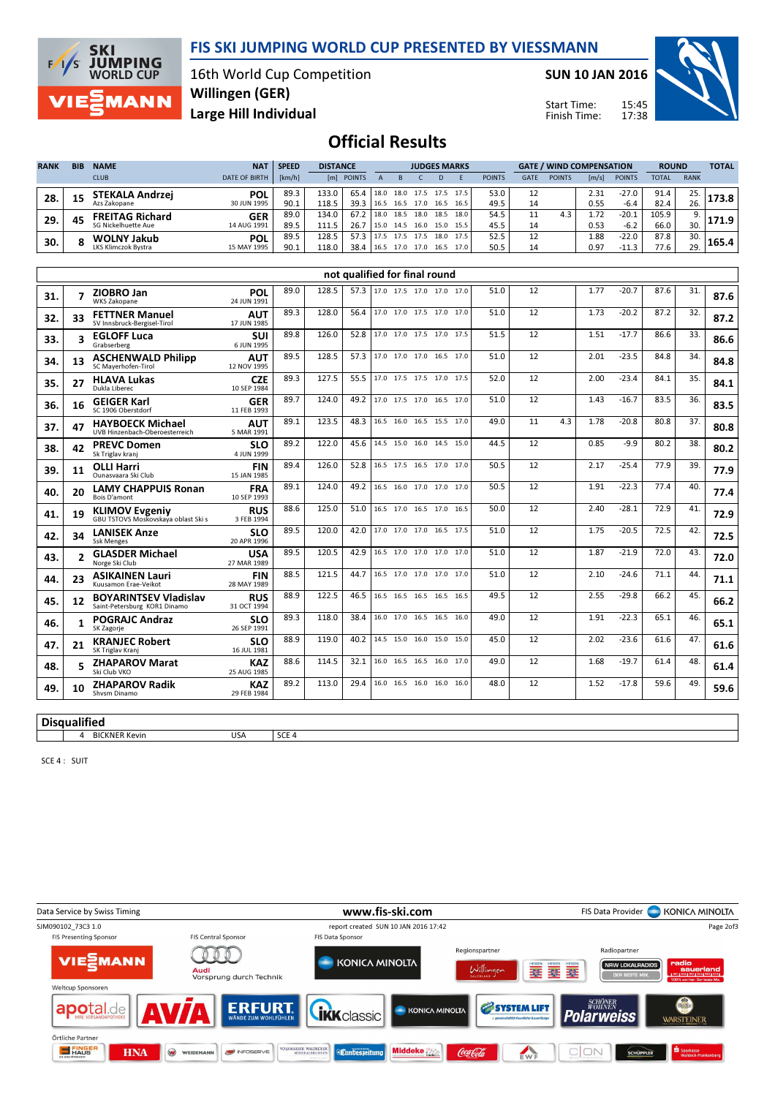

**SKI JUMPING**<br>WORLD CUP  $F/1/s$ MANN

16th World Cup Competition Large Hill Individual Willingen (GER)

SUN 10 JAN 2016

Start Time: Finish Time:



# Official Results

| <b>RANK</b> | <b>BIB</b> | <b>NAME</b><br><b>CLUB</b>                    | <b>NAT</b><br><b>DATE OF BIRTH</b> | <b>SPEED</b><br>[km/h] | <b>DISTANCE</b><br>[m] | <b>POINTS</b> |              |              | <b>JUDGES MARKS</b>              |              |              | <b>POINTS</b> | GATE | <b>GATE / WIND COMPENSATION</b><br><b>POINTS</b> | [m/s]        | <b>POINTS</b>      | <b>ROUND</b><br><b>TOTAL</b> | <b>RANK</b> | <b>TOTAL</b> |
|-------------|------------|-----------------------------------------------|------------------------------------|------------------------|------------------------|---------------|--------------|--------------|----------------------------------|--------------|--------------|---------------|------|--------------------------------------------------|--------------|--------------------|------------------------------|-------------|--------------|
| 28.         | 15         | <b>STEKALA Andrzej</b><br>Azs Zakopane        | <b>POL</b><br>30 JUN 1995          | 89.3<br>90.1           | 133.0<br>118.5         | 65.4<br>39.3  | 18.0<br>16.5 |              | 18.0 17.5 17.5<br>16.5 17.0 16.5 |              | 17.5<br>16.5 | 53.0<br>49.5  | 14   |                                                  | 2.31<br>0.55 | -27.0<br>$-6.4$    | 91.4<br>82.4                 | 25.<br>26.  | .73.8 I      |
| 29.         | 45         | <b>FREITAG Richard</b><br>SG Nickelhuette Aue | <b>GER</b><br>14 AUG 1991          | 89.0<br>89.5           | 134.0<br>111.5         | 67.2<br>26.7  | 18.0<br>15.0 | 18.5<br>14.5 | 18.0<br>16.0                     | 18.5<br>15.0 | 18.0<br>15.5 | 54.5<br>45.5  | 14   | 4.3                                              | 1.72<br>0.53 | $-20.1$<br>$-6.2$  | 105.9<br>66.0                | 9.<br>30.   | 71.9         |
| 30.         |            | <b>WOLNY Jakub</b><br>LKS Klimczok Bvstra     | <b>POL</b><br>15 MAY 1995          | 89.5<br>90.1           | 128.5<br>118.0         | 57.3<br>38.4  | 17.5<br>16.5 | 17.5         | 17.5<br>17.0 17.0                | 18.0<br>16.5 | 17.5         | 52.5<br>50.5  |      |                                                  | 1.88<br>0.97 | $-22.0$<br>$-11.3$ | 87.8<br>77.6                 | 30.<br>29.  | 165.4        |

|     | not qualified for final round |                                                              |                           |      |       |      |  |                          |  |  |      |      |    |     |      |         |      |     |      |
|-----|-------------------------------|--------------------------------------------------------------|---------------------------|------|-------|------|--|--------------------------|--|--|------|------|----|-----|------|---------|------|-----|------|
| 31. |                               | ZIOBRO Jan<br><b>WKS Zakopane</b>                            | POL<br>24 JUN 1991        | 89.0 | 128.5 | 57.3 |  | 17.0 17.5 17.0 17.0 17.0 |  |  |      | 51.0 | 12 |     | 1.77 | $-20.7$ | 87.6 | 31. | 87.6 |
| 32. | 33                            | <b>FETTNER Manuel</b><br>SV Innsbruck-Bergisel-Tirol         | <b>AUT</b><br>17 JUN 1985 | 89.3 | 128.0 | 56.4 |  | 17.0 17.0 17.5 17.0 17.0 |  |  |      | 51.0 | 12 |     | 1.73 | $-20.2$ | 87.2 | 32. | 87.2 |
| 33. | 3                             | <b>EGLOFF Luca</b><br>Grabserberg                            | SUI<br>6 JUN 1995         | 89.8 | 126.0 | 52.8 |  | 17.0 17.0 17.5 17.0 17.5 |  |  |      | 51.5 | 12 |     | 1.51 | $-17.7$ | 86.6 | 33. | 86.6 |
| 34. | 13                            | <b>ASCHENWALD Philipp</b><br>SC Maverhofen-Tirol             | <b>AUT</b><br>12 NOV 1995 | 89.5 | 128.5 | 57.3 |  | 17.0 17.0 17.0 16.5 17.0 |  |  |      | 51.0 | 12 |     | 2.01 | $-23.5$ | 84.8 | 34. | 84.8 |
| 35. | 27                            | <b>HLAVA Lukas</b><br>Dukla Liberec                          | <b>CZE</b><br>10 SEP 1984 | 89.3 | 127.5 | 55.5 |  | 17.0 17.5 17.5 17.0 17.5 |  |  |      | 52.0 | 12 |     | 2.00 | $-23.4$ | 84.1 | 35. | 84.1 |
| 36. | 16                            | <b>GEIGER Karl</b><br>SC 1906 Oberstdorf                     | <b>GER</b><br>11 FEB 1993 | 89.7 | 124.0 | 49.2 |  | 17.0 17.5 17.0 16.5 17.0 |  |  |      | 51.0 | 12 |     | 1.43 | $-16.7$ | 83.5 | 36. | 83.5 |
| 37. | 47                            | <b>HAYBOECK Michael</b><br>UVB Hinzenbach-Oberoesterreich    | <b>AUT</b><br>5 MAR 1991  | 89.1 | 123.5 | 48.3 |  | 16.5 16.0 16.5 15.5 17.0 |  |  |      | 49.0 | 11 | 4.3 | 1.78 | $-20.8$ | 80.8 | 37. | 80.8 |
| 38. | 42                            | <b>PREVC Domen</b><br>Sk Triglav kranj                       | <b>SLO</b><br>4 JUN 1999  | 89.2 | 122.0 | 45.6 |  | 14.5 15.0 16.0 14.5 15.0 |  |  |      | 44.5 | 12 |     | 0.85 | -9.9    | 80.2 | 38. | 80.2 |
| 39. | 11                            | <b>OLLI Harri</b><br>Ounasyaara Ski Club                     | <b>FIN</b><br>15 JAN 1985 | 89.4 | 126.0 | 52.8 |  | 16.5 17.5 16.5 17.0      |  |  | 17.0 | 50.5 | 12 |     | 2.17 | $-25.4$ | 77.9 | 39. | 77.9 |
| 40. | 20                            | <b>LAMY CHAPPUIS Ronan</b><br>Bois D'amont                   | <b>FRA</b><br>10 SEP 1993 | 89.1 | 124.0 | 49.2 |  | 16.5 16.0 17.0 17.0 17.0 |  |  |      | 50.5 | 12 |     | 1.91 | $-22.3$ | 77.4 | 40. | 77.4 |
| 41. | 19                            | <b>KLIMOV Evgeniy</b><br>GBU TSTOVS Moskovskaya oblast Ski s | <b>RUS</b><br>3 FEB 1994  | 88.6 | 125.0 | 51.0 |  | 16.5 17.0 16.5 17.0 16.5 |  |  |      | 50.0 | 12 |     | 2.40 | $-28.1$ | 72.9 | 41. | 72.9 |
| 42. | 34                            | <b>LANISEK Anze</b><br><b>Ssk Menges</b>                     | <b>SLO</b><br>20 APR 1996 | 89.5 | 120.0 | 42.0 |  | 17.0 17.0 17.0 16.5 17.5 |  |  |      | 51.0 | 12 |     | 1.75 | $-20.5$ | 72.5 | 42. | 72.5 |
| 43. | $\overline{\phantom{a}}$      | <b>GLASDER Michael</b><br>Norge Ski Club                     | <b>USA</b><br>27 MAR 1989 | 89.5 | 120.5 | 42.9 |  | 16.5 17.0 17.0 17.0 17.0 |  |  |      | 51.0 | 12 |     | 1.87 | $-21.9$ | 72.0 | 43. | 72.0 |
| 44. | 23                            | <b>ASIKAINEN Lauri</b><br>Kuusamon Frae-Veikot               | <b>FIN</b><br>28 MAY 1989 | 88.5 | 121.5 | 44.7 |  | 16.5 17.0 17.0 17.0 17.0 |  |  |      | 51.0 | 12 |     | 2.10 | $-24.6$ | 71.1 | 44. | 71.1 |
| 45. | 12                            | <b>BOYARINTSEV Vladislav</b><br>Saint-Petersburg KOR1 Dinamo | <b>RUS</b><br>31 OCT 1994 | 88.9 | 122.5 | 46.5 |  | 16.5 16.5 16.5 16.5 16.5 |  |  |      | 49.5 | 12 |     | 2.55 | $-29.8$ | 66.2 | 45. | 66.2 |
| 46. | 1                             | <b>POGRAJC Andraz</b><br>SK Zagorje                          | <b>SLO</b><br>26 SEP 1991 | 89.3 | 118.0 | 38.4 |  | 16.0 17.0 16.5 16.5 16.0 |  |  |      | 49.0 | 12 |     | 1.91 | $-22.3$ | 65.1 | 46. | 65.1 |
| 47. | 21                            | <b>KRANJEC Robert</b><br>SK Triglav Kranj                    | <b>SLO</b><br>16 JUL 1981 | 88.9 | 119.0 | 40.2 |  | 14.5 15.0 16.0 15.0      |  |  | 15.0 | 45.0 | 12 |     | 2.02 | $-23.6$ | 61.6 | 47. | 61.6 |
| 48. |                               | <b>ZHAPAROV Marat</b><br>Ski Club VKO                        | <b>KAZ</b><br>25 AUG 1985 | 88.6 | 114.5 | 32.1 |  | 16.0 16.5 16.5 16.0 17.0 |  |  |      | 49.0 | 12 |     | 1.68 | $-19.7$ | 61.4 | 48. | 61.4 |
| 49. | 10                            | <b>ZHAPAROV Radik</b><br>Shysm Dinamo                        | <b>KAZ</b><br>29 FEB 1984 | 89.2 | 113.0 | 29.4 |  | 16.0 16.5 16.0 16.0 16.0 |  |  |      | 48.0 | 12 |     | 1.52 | $-17.8$ | 59.6 | 49. | 59.6 |
|     |                               |                                                              |                           |      |       |      |  |                          |  |  |      |      |    |     |      |         |      |     |      |

**Disqualified** 4 BICKNER Kevin USA SCE 4

SCE 4 : SUIT